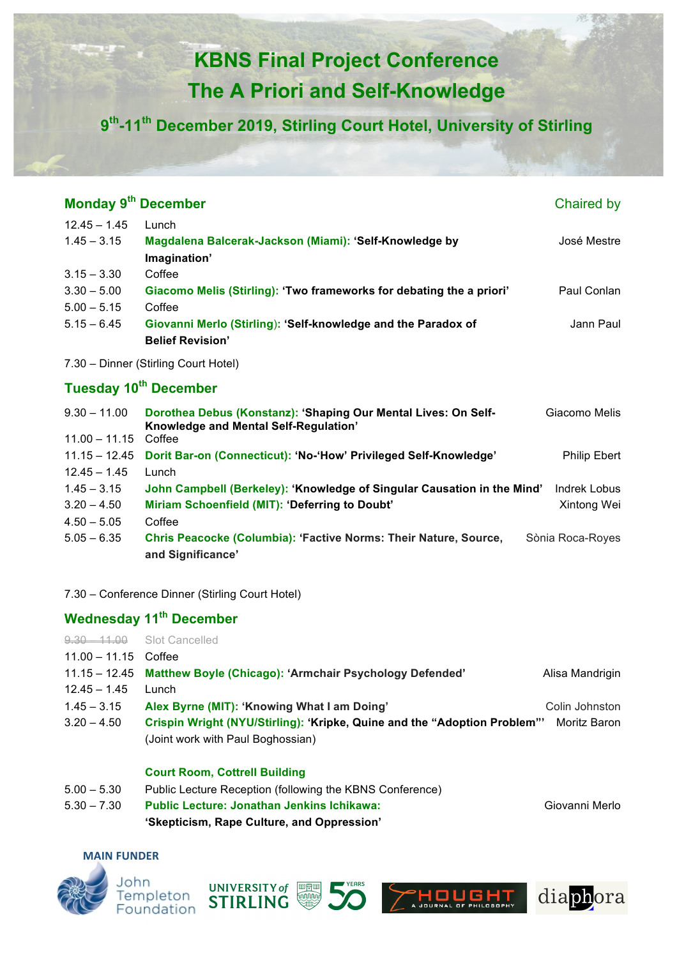# **KBNS Final Project Conference The A Priori and Self-Knowledge**

**9th-11th December 2019, Stirling Court Hotel, University of Stirling**

| Monday 9 <sup>th</sup> December      |                 |                                                                                                         | Chaired by          |  |  |
|--------------------------------------|-----------------|---------------------------------------------------------------------------------------------------------|---------------------|--|--|
|                                      | $12.45 - 1.45$  | Lunch                                                                                                   |                     |  |  |
|                                      | $1.45 - 3.15$   | Magdalena Balcerak-Jackson (Miami): 'Self-Knowledge by                                                  | José Mestre         |  |  |
|                                      |                 | Imagination'                                                                                            |                     |  |  |
|                                      | $3.15 - 3.30$   | Coffee                                                                                                  |                     |  |  |
|                                      | $3.30 - 5.00$   | Giacomo Melis (Stirling): 'Two frameworks for debating the a priori'                                    | Paul Conlan         |  |  |
|                                      | $5.00 - 5.15$   | Coffee                                                                                                  |                     |  |  |
|                                      | $5.15 - 6.45$   | Giovanni Merlo (Stirling): 'Self-knowledge and the Paradox of                                           | Jann Paul           |  |  |
|                                      |                 | <b>Belief Revision'</b>                                                                                 |                     |  |  |
| 7.30 - Dinner (Stirling Court Hotel) |                 |                                                                                                         |                     |  |  |
| Tuesday 10 <sup>th</sup> December    |                 |                                                                                                         |                     |  |  |
|                                      | $9.30 - 11.00$  | Dorothea Debus (Konstanz): 'Shaping Our Mental Lives: On Self-<br>Knowledge and Mental Self-Regulation' | Giacomo Melis       |  |  |
|                                      | $11.00 - 11.15$ | Coffee                                                                                                  |                     |  |  |
|                                      | $11.15 - 12.45$ | Dorit Bar-on (Connecticut): 'No-'How' Privileged Self-Knowledge'                                        | <b>Philip Ebert</b> |  |  |
|                                      | $12.45 - 1.45$  | Lunch                                                                                                   |                     |  |  |
|                                      | $1.45 - 3.15$   | John Campbell (Berkeley): 'Knowledge of Singular Causation in the Mind'                                 | Indrek Lobus        |  |  |
|                                      | $3.20 - 4.50$   | Miriam Schoenfield (MIT): 'Deferring to Doubt'                                                          | Xintong Wei         |  |  |
|                                      | $4.50 - 5.05$   | Coffee                                                                                                  |                     |  |  |
|                                      | $5.05 - 6.35$   | Chris Peacocke (Columbia): 'Factive Norms: Their Nature, Source,                                        | Sònia Roca-Royes    |  |  |
|                                      |                 | and Significance'                                                                                       |                     |  |  |

7.30 – Conference Dinner (Stirling Court Hotel)

### **Wednesday 11th December**

**9.30 – 11.00 Slot Cancelled** 

11.00 – 11.15 Coffee

|                | 11.15 - 12.45 Matthew Boyle (Chicago): 'Armchair Psychology Defended' | Alisa Mandrigin |
|----------------|-----------------------------------------------------------------------|-----------------|
| $12.45 - 1.45$ | Lunch                                                                 |                 |
| $1.45 - 3.15$  | Alex Byrne (MIT): 'Knowing What I am Doing'                           | Colin Johnston  |

3.20 – 4.50 **Crispin Wright (NYU/Stirling): 'Kripke, Quine and the "Adoption Problem"'** Moritz Baron (Joint work with Paul Boghossian)

#### **Court Room, Cottrell Building**

- 5.00 5.30 Public Lecture Reception (following the KBNS Conference)
- 5.30 7.30 **Public Lecture: Jonathan Jenkins Ichikawa:** Giovanni Merlo **'Skepticism, Rape Culture, and Oppression'**

#### **MAIN FUNDER**









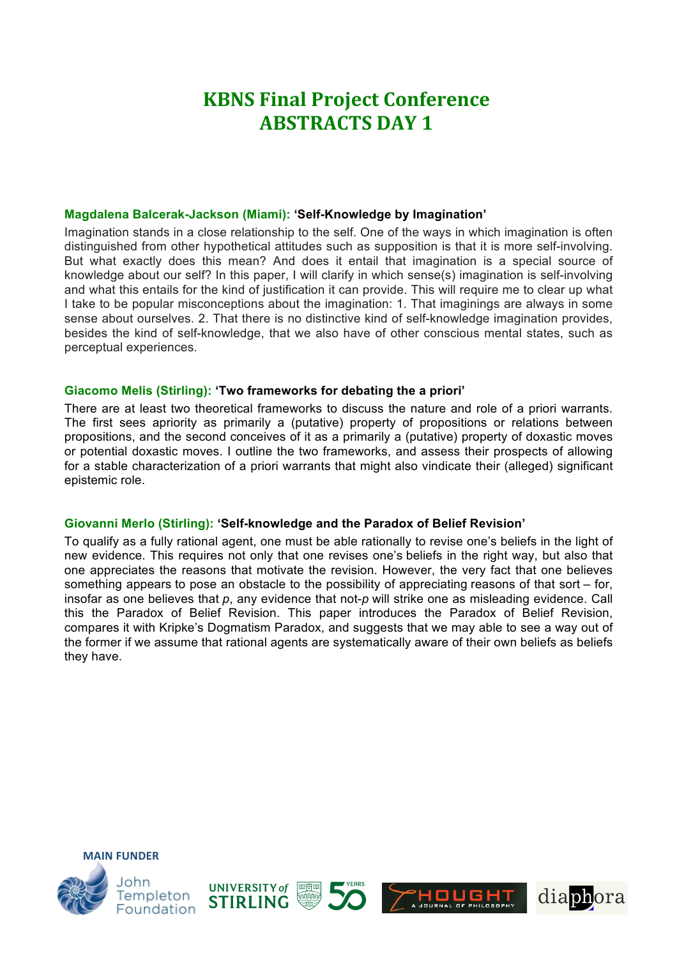## **KBNS Final Project Conference ABSTRACTS DAY 1**

#### **Magdalena Balcerak-Jackson (Miami): 'Self-Knowledge by Imagination'**

Imagination stands in a close relationship to the self. One of the ways in which imagination is often distinguished from other hypothetical attitudes such as supposition is that it is more self-involving. But what exactly does this mean? And does it entail that imagination is a special source of knowledge about our self? In this paper, I will clarify in which sense(s) imagination is self-involving and what this entails for the kind of justification it can provide. This will require me to clear up what I take to be popular misconceptions about the imagination: 1. That imaginings are always in some sense about ourselves. 2. That there is no distinctive kind of self-knowledge imagination provides, besides the kind of self-knowledge, that we also have of other conscious mental states, such as perceptual experiences.

#### **Giacomo Melis (Stirling): 'Two frameworks for debating the a priori'**

There are at least two theoretical frameworks to discuss the nature and role of a priori warrants. The first sees apriority as primarily a (putative) property of propositions or relations between propositions, and the second conceives of it as a primarily a (putative) property of doxastic moves or potential doxastic moves. I outline the two frameworks, and assess their prospects of allowing for a stable characterization of a priori warrants that might also vindicate their (alleged) significant epistemic role.

#### **Giovanni Merlo (Stirling): 'Self-knowledge and the Paradox of Belief Revision'**

To qualify as a fully rational agent, one must be able rationally to revise one's beliefs in the light of new evidence. This requires not only that one revises one's beliefs in the right way, but also that one appreciates the reasons that motivate the revision. However, the very fact that one believes something appears to pose an obstacle to the possibility of appreciating reasons of that sort – for, insofar as one believes that *p*, any evidence that not-*p* will strike one as misleading evidence. Call this the Paradox of Belief Revision. This paper introduces the Paradox of Belief Revision, compares it with Kripke's Dogmatism Paradox, and suggests that we may able to see a way out of the former if we assume that rational agents are systematically aware of their own beliefs as beliefs they have.



**MAIN FUNDER**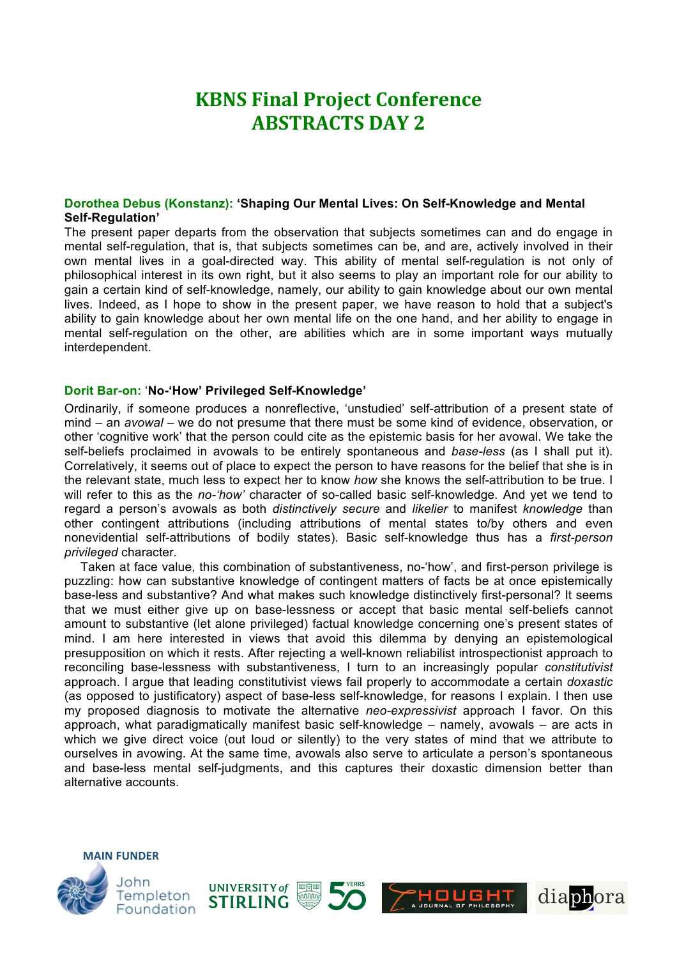## **KBNS Final Project Conference ABSTRACTS DAY 2**

#### **Dorothea Debus (Konstanz): 'Shaping Our Mental Lives: On Self-Knowledge and Mental Self-Regulation'**

The present paper departs from the observation that subjects sometimes can and do engage in mental self-regulation, that is, that subjects sometimes can be, and are, actively involved in their own mental lives in a goal-directed way. This ability of mental self-regulation is not only of philosophical interest in its own right, but it also seems to play an important role for our ability to gain a certain kind of self-knowledge, namely, our ability to gain knowledge about our own mental lives. Indeed, as I hope to show in the present paper, we have reason to hold that a subject's ability to gain knowledge about her own mental life on the one hand, and her ability to engage in mental self-regulation on the other, are abilities which are in some important ways mutually interdependent.

#### **Dorit Bar-on:** '**No-'How' Privileged Self-Knowledge'**

Ordinarily, if someone produces a nonreflective, 'unstudied' self-attribution of a present state of mind – an *avowal* – we do not presume that there must be some kind of evidence, observation, or other 'cognitive work' that the person could cite as the epistemic basis for her avowal. We take the self-beliefs proclaimed in avowals to be entirely spontaneous and *base-less* (as I shall put it). Correlatively, it seems out of place to expect the person to have reasons for the belief that she is in the relevant state, much less to expect her to know *how* she knows the self-attribution to be true. I will refer to this as the *no-'how'* character of so-called basic self-knowledge*.* And yet we tend to regard a person's avowals as both *distinctively secure* and *likelier* to manifest *knowledge* than other contingent attributions (including attributions of mental states to/by others and even nonevidential self-attributions of bodily states). Basic self-knowledge thus has a *first-person privileged* character*.*

Taken at face value, this combination of substantiveness, no-'how', and first-person privilege is puzzling: how can substantive knowledge of contingent matters of facts be at once epistemically base-less and substantive? And what makes such knowledge distinctively first-personal? It seems that we must either give up on base-lessness or accept that basic mental self-beliefs cannot amount to substantive (let alone privileged) factual knowledge concerning one's present states of mind. I am here interested in views that avoid this dilemma by denying an epistemological presupposition on which it rests. After rejecting a well-known reliabilist introspectionist approach to reconciling base-lessness with substantiveness, I turn to an increasingly popular *constitutivist*  approach. I argue that leading constitutivist views fail properly to accommodate a certain *doxastic*  (as opposed to justificatory) aspect of base-less self-knowledge, for reasons I explain. I then use my proposed diagnosis to motivate the alternative *neo-expressivist* approach I favor. On this approach, what paradigmatically manifest basic self-knowledge – namely, avowals – are acts in which we give direct voice (out loud or silently) to the very states of mind that we attribute to ourselves in avowing. At the same time, avowals also serve to articulate a person's spontaneous and base-less mental self-judgments, and this captures their doxastic dimension better than alternative accounts.



**MAIN FUNDER**







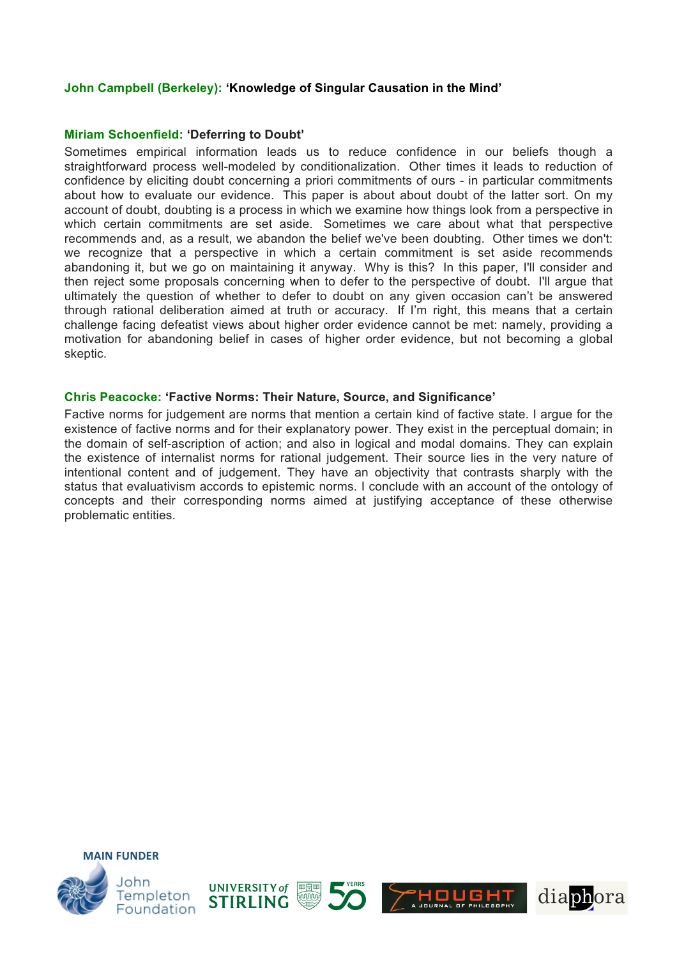#### **John Campbell (Berkeley): 'Knowledge of Singular Causation in the Mind'**

#### **Miriam Schoenfield: 'Deferring to Doubt'**

Sometimes empirical information leads us to reduce confidence in our beliefs though a straightforward process well-modeled by conditionalization. Other times it leads to reduction of confidence by eliciting doubt concerning a priori commitments of ours - in particular commitments about how to evaluate our evidence. This paper is about about doubt of the latter sort. On my account of doubt, doubting is a process in which we examine how things look from a perspective in which certain commitments are set aside. Sometimes we care about what that perspective recommends and, as a result, we abandon the belief we've been doubting. Other times we don't: we recognize that a perspective in which a certain commitment is set aside recommends abandoning it, but we go on maintaining it anyway. Why is this? In this paper, I'll consider and then reject some proposals concerning when to defer to the perspective of doubt. I'll argue that ultimately the question of whether to defer to doubt on any given occasion can't be answered through rational deliberation aimed at truth or accuracy. If I'm right, this means that a certain challenge facing defeatist views about higher order evidence cannot be met: namely, providing a motivation for abandoning belief in cases of higher order evidence, but not becoming a global skeptic.

#### **Chris Peacocke: 'Factive Norms: Their Nature, Source, and Significance'**

Factive norms for judgement are norms that mention a certain kind of factive state. I argue for the existence of factive norms and for their explanatory power. They exist in the perceptual domain; in the domain of self-ascription of action; and also in logical and modal domains. They can explain the existence of internalist norms for rational judgement. Their source lies in the very nature of intentional content and of judgement. They have an objectivity that contrasts sharply with the status that evaluativism accords to epistemic norms. I conclude with an account of the ontology of concepts and their corresponding norms aimed at justifying acceptance of these otherwise problematic entities.



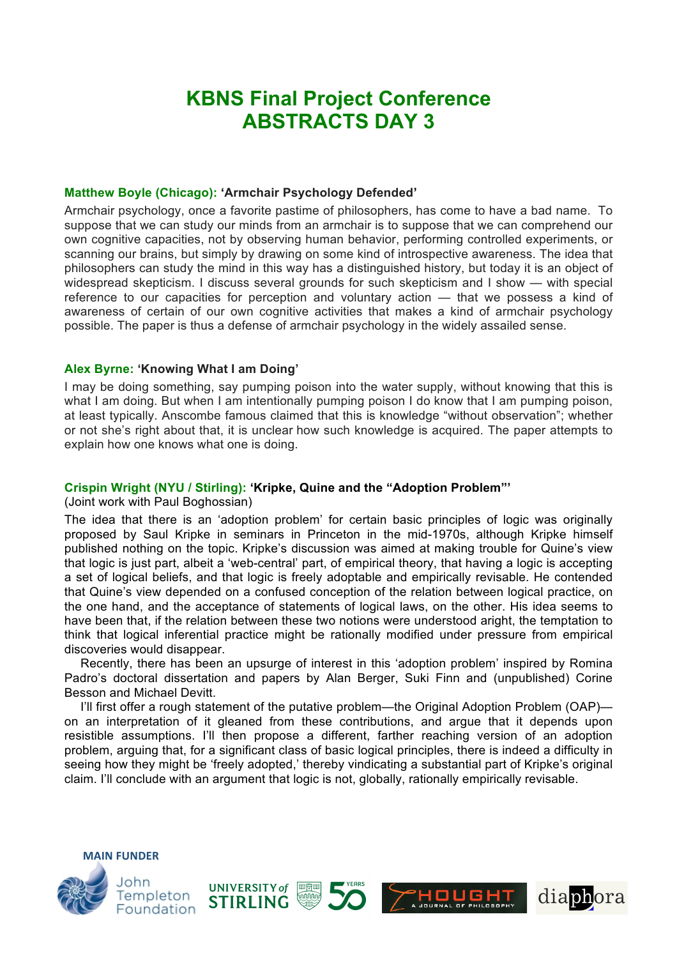## **KBNS Final Project Conference ABSTRACTS DAY 3**

#### **Matthew Boyle (Chicago): 'Armchair Psychology Defended'**

Armchair psychology, once a favorite pastime of philosophers, has come to have a bad name. To suppose that we can study our minds from an armchair is to suppose that we can comprehend our own cognitive capacities, not by observing human behavior, performing controlled experiments, or scanning our brains, but simply by drawing on some kind of introspective awareness. The idea that philosophers can study the mind in this way has a distinguished history, but today it is an object of widespread skepticism. I discuss several grounds for such skepticism and I show — with special reference to our capacities for perception and voluntary action — that we possess a kind of awareness of certain of our own cognitive activities that makes a kind of armchair psychology possible. The paper is thus a defense of armchair psychology in the widely assailed sense.

#### **Alex Byrne: 'Knowing What I am Doing'**

I may be doing something, say pumping poison into the water supply, without knowing that this is what I am doing. But when I am intentionally pumping poison I do know that I am pumping poison, at least typically. Anscombe famous claimed that this is knowledge "without observation"; whether or not she's right about that, it is unclear how such knowledge is acquired. The paper attempts to explain how one knows what one is doing.

#### **Crispin Wright (NYU / Stirling): 'Kripke, Quine and the "Adoption Problem"'**

(Joint work with Paul Boghossian)

**MAIN FUNDER**

The idea that there is an 'adoption problem' for certain basic principles of logic was originally proposed by Saul Kripke in seminars in Princeton in the mid-1970s, although Kripke himself published nothing on the topic. Kripke's discussion was aimed at making trouble for Quine's view that logic is just part, albeit a 'web-central' part, of empirical theory, that having a logic is accepting a set of logical beliefs, and that logic is freely adoptable and empirically revisable. He contended that Quine's view depended on a confused conception of the relation between logical practice, on the one hand, and the acceptance of statements of logical laws, on the other. His idea seems to have been that, if the relation between these two notions were understood aright, the temptation to think that logical inferential practice might be rationally modified under pressure from empirical discoveries would disappear.

Recently, there has been an upsurge of interest in this 'adoption problem' inspired by Romina Padro's doctoral dissertation and papers by Alan Berger, Suki Finn and (unpublished) Corine Besson and Michael Devitt.

I'll first offer a rough statement of the putative problem—the Original Adoption Problem (OAP) on an interpretation of it gleaned from these contributions, and argue that it depends upon resistible assumptions. I'll then propose a different, farther reaching version of an adoption problem, arguing that, for a significant class of basic logical principles, there is indeed a difficulty in seeing how they might be 'freely adopted,' thereby vindicating a substantial part of Kripke's original claim. I'll conclude with an argument that logic is not, globally, rationally empirically revisable.